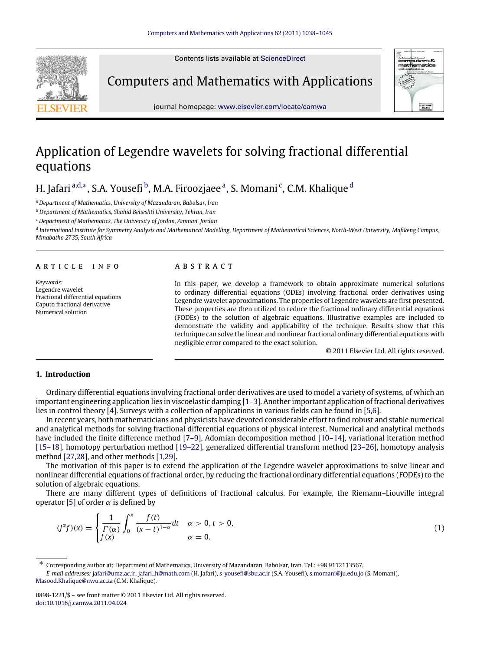Contents lists available at [ScienceDirect](http://www.elsevier.com/locate/camwa)



Computers and Mathematics with Applications



journal homepage: [www.elsevier.com/locate/camwa](http://www.elsevier.com/locate/camwa)

# Application of Legendre wavelets for solving fractional differential equations

# H. J[a](#page-0-0)fari™<sup>a[,d,](#page-0-1)</sup>\*, S.A. Yousefi [b](#page-0-3), M.A. Firoozjaee ª, S. Momani <sup>[c](#page-0-4)</sup>, C.M. Khalique <sup>[d](#page-0-1)</sup>

<span id="page-0-0"></span><sup>a</sup> *Department of Mathematics, University of Mazandaran, Babolsar, Iran*

<span id="page-0-3"></span><sup>b</sup> *Department of Mathematics, Shahid Beheshti University, Tehran, Iran*

<span id="page-0-4"></span><sup>c</sup> *Department of Mathematics, The University of Jordan, Amman, Jordan*

<span id="page-0-1"></span>d *International Institute for Symmetry Analysis and Mathematical Modelling, Department of Mathematical Sciences, North-West University, Mafikeng Campus, Mmabatho 2735, South Africa*

#### a r t i c l e i n f o

*Keywords:* Legendre wavelet Fractional differential equations Caputo fractional derivative Numerical solution

#### a b s t r a c t

In this paper, we develop a framework to obtain approximate numerical solutions to ordinary differential equations (ODEs) involving fractional order derivatives using Legendre wavelet approximations. The properties of Legendre wavelets are first presented. These properties are then utilized to reduce the fractional ordinary differential equations (FODEs) to the solution of algebraic equations. Illustrative examples are included to demonstrate the validity and applicability of the technique. Results show that this technique can solve the linear and nonlinear fractional ordinary differential equations with negligible error compared to the exact solution.

© 2011 Elsevier Ltd. All rights reserved.

## **1. Introduction**

Ordinary differential equations involving fractional order derivatives are used to model a variety of systems, of which an important engineering application lies in viscoelastic damping [\[1–3\]](#page-7-0). Another important application of fractional derivatives lies in control theory [\[4\]](#page-7-1). Surveys with a collection of applications in various fields can be found in [\[5](#page-7-2)[,6\]](#page-7-3).

In recent years, both mathematicians and physicists have devoted considerable effort to find robust and stable numerical and analytical methods for solving fractional differential equations of physical interest. Numerical and analytical methods have included the finite difference method [\[7–9\]](#page-7-4), Adomian decomposition method [\[10–14\]](#page-7-5), variational iteration method [\[15–18\]](#page-7-6), homotopy perturbation method [\[19–22\]](#page-7-7), generalized differential transform method [\[23–26\]](#page-7-8), homotopy analysis method [\[27](#page-7-9)[,28\]](#page-7-10), and other methods [\[1](#page-7-0)[,29\]](#page-7-11).

The motivation of this paper is to extend the application of the Legendre wavelet approximations to solve linear and nonlinear differential equations of fractional order, by reducing the fractional ordinary differential equations (FODEs) to the solution of algebraic equations.

There are many different types of definitions of fractional calculus. For example, the Riemann–Liouville integral operator [\[5\]](#page-7-2) of order  $\alpha$  is defined by

$$
(J^{\alpha}f)(x) = \begin{cases} \frac{1}{\Gamma(\alpha)} \int_0^x \frac{f(t)}{(x-t)^{1-\alpha}} dt & \alpha > 0, t > 0, \\ f(x) & \alpha = 0. \end{cases}
$$
(1)

*E-mail addresses:* [jafari@umz.ac.ir,](mailto:jafari@umz.ac.ir) [jafari\\_h@math.com](mailto:jafari_h@math.com) (H. Jafari), [s-yousefi@sbu.ac.ir](mailto:s-yousefi@sbu.ac.ir) (S.A. Yousefi), [s.momani@ju.edu.jo](mailto:s.momani@ju.edu.jo) (S. Momani), [Masood.Khalique@nwu.ac.za](mailto:Masood.Khalique@nwu.ac.za) (C.M. Khalique).

<span id="page-0-2"></span><sup>∗</sup> Corresponding author at: Department of Mathematics, University of Mazandaran, Babolsar, Iran. Tel.: +98 9112113567.

<sup>0898-1221/\$ –</sup> see front matter © 2011 Elsevier Ltd. All rights reserved. [doi:10.1016/j.camwa.2011.04.024](http://dx.doi.org/10.1016/j.camwa.2011.04.024)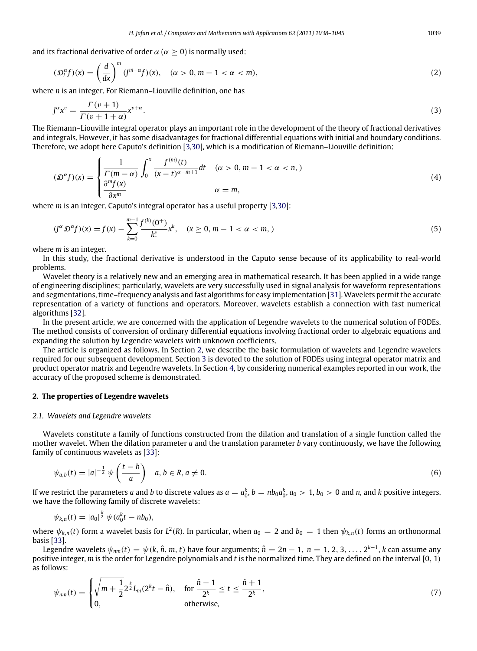and its fractional derivative of order  $\alpha$  ( $\alpha > 0$ ) is normally used:

$$
(\mathcal{D}_1^{\alpha}f)(x) = \left(\frac{d}{dx}\right)^m (J^{m-\alpha}f)(x), \quad (\alpha > 0, m-1 < \alpha < m),
$$
\n(2)

where *n* is an integer. For Riemann–Liouville definition, one has

$$
J^{\alpha}x^{\nu} = \frac{\Gamma(\nu+1)}{\Gamma(\nu+1+\alpha)}x^{\nu+\alpha}.
$$
\n(3)

The Riemann–Liouville integral operator plays an important role in the development of the theory of fractional derivatives and integrals. However, it has some disadvantages for fractional differential equations with initial and boundary conditions. Therefore, we adopt here Caputo's definition [\[3,](#page-7-12)[30\]](#page-7-13), which is a modification of Riemann–Liouville definition:

<span id="page-1-1"></span>
$$
(\mathcal{D}^{\alpha}f)(x) = \begin{cases} \frac{1}{\Gamma(m-\alpha)} \int_0^x \frac{f^{(m)}(t)}{(x-t)^{\alpha-m+1}} dt & (\alpha > 0, m-1 < \alpha < n, )\\ \frac{\partial^m f(x)}{\partial x^m} & \alpha = m, \end{cases}
$$
(4)

where *m* is an integer. Caputo's integral operator has a useful property [\[3,](#page-7-12)[30\]](#page-7-13):

$$
(J^{\alpha} \mathcal{D}^{\alpha} f)(x) = f(x) - \sum_{k=0}^{m-1} \frac{f^{(k)}(0^+)}{k!} x^k, \quad (x \ge 0, m-1 < \alpha < m, )
$$
 (5)

where *m* is an integer.

In this study, the fractional derivative is understood in the Caputo sense because of its applicability to real-world problems.

Wavelet theory is a relatively new and an emerging area in mathematical research. It has been applied in a wide range of engineering disciplines; particularly, wavelets are very successfully used in signal analysis for waveform representations and segmentations, time–frequency analysis and fast algorithms for easy implementation [\[31\]](#page-7-14). Wavelets permit the accurate representation of a variety of functions and operators. Moreover, wavelets establish a connection with fast numerical algorithms [\[32\]](#page-7-15).

In the present article, we are concerned with the application of Legendre wavelets to the numerical solution of FODEs. The method consists of conversion of ordinary differential equations involving fractional order to algebraic equations and expanding the solution by Legendre wavelets with unknown coefficients.

The article is organized as follows. In Section [2,](#page-1-0) we describe the basic formulation of wavelets and Legendre wavelets required for our subsequent development. Section [3](#page-3-0) is devoted to the solution of FODEs using integral operator matrix and product operator matrix and Legendre wavelets. In Section [4,](#page-4-0) by considering numerical examples reported in our work, the accuracy of the proposed scheme is demonstrated.

#### <span id="page-1-0"></span>**2. The properties of Legendre wavelets**

#### *2.1. Wavelets and Legendre wavelets*

Wavelets constitute a family of functions constructed from the dilation and translation of a single function called the mother wavelet. When the dilation parameter *a* and the translation parameter *b* vary continuously, we have the following family of continuous wavelets as [\[33\]](#page-7-16):

$$
\psi_{a,b}(t) = |a|^{-\frac{1}{2}} \psi\left(\frac{t-b}{a}\right) \quad a, b \in R, a \neq 0. \tag{6}
$$

If we restrict the parameters *a* and *b* to discrete values as  $a = a_0^k$ ,  $b = nb_0a_0^k$ ,  $a_0 > 1$ ,  $b_0 > 0$  and *n*, and *k* positive integers, we have the following family of discrete wavelets:

$$
\psi_{k,n}(t) = |a_0|^{\frac{k}{2}} \psi(a_0^k t - nb_0),
$$

where  $\psi_{k,n}(t)$  form a wavelet basis for  $L^2(R)$ . In particular, when  $a_0 = 2$  and  $b_0 = 1$  then  $\psi_{k,n}(t)$  forms an orthonormal basis [\[33\]](#page-7-16).

Legendre wavelets  $\psi_{nm}(t) = \psi(k, \hat{n}, m, t)$  have four arguments;  $\hat{n} = 2n - 1$ ,  $n = 1, 2, 3, ..., 2^{k-1}$ , *k* can assume any positive integer, *<sup>m</sup>* is the order for Legendre polynomials and *<sup>t</sup>* is the normalized time. They are defined on the interval [0, <sup>1</sup>) as follows:

$$
\psi_{nm}(t) = \begin{cases} \sqrt{m + \frac{1}{2}} 2^{\frac{k}{2}} L_m(2^k t - \hat{n}), & \text{for } \frac{\hat{n} - 1}{2^k} \le t \le \frac{\hat{n} + 1}{2^k}, \\ 0, & \text{otherwise}, \end{cases}
$$
(7)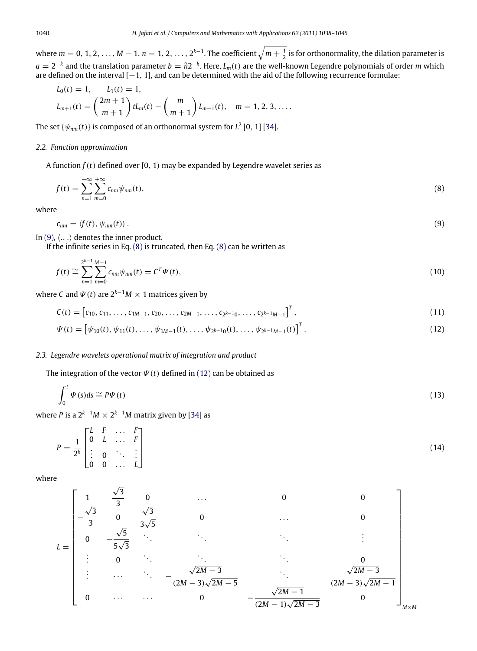where  $m=0,\,1,2,\,\ldots,M-1,\,n=1,2,\ldots,2^{k-1}.$  The coefficient  $\sqrt{m+\frac{1}{2}}$  is for orthonormality, the dilation parameter is  $a = 2^{-k}$  and the translation parameter  $b = \hat{n}2^{-k}$ . Here,  $L_m(t)$  are the well-known Legendre polynomials of order *m* which are defined on the interval [−1, <sup>1</sup>], and can be determined with the aid of the following recurrence formulae:

$$
L_0(t) = 1, \qquad L_1(t) = 1,
$$
  
\n
$$
L_{m+1}(t) = \left(\frac{2m+1}{m+1}\right) t L_m(t) - \left(\frac{m}{m+1}\right) L_{m-1}(t), \quad m = 1, 2, 3, ....
$$

The set  $\{\psi_{nm}(t)\}$  is composed of an orthonormal system for  $L^2$  [0, 1] [\[34\]](#page-7-17).

#### *2.2. Function approximation*

A function  $f(t)$  defined over [0, 1) may be expanded by Legendre wavelet series as

<span id="page-2-1"></span>
$$
f(t) = \sum_{n=1}^{+\infty} \sum_{m=0}^{+\infty} c_{nm} \psi_{nm}(t),
$$
\n(8)

where

<span id="page-2-0"></span>
$$
c_{nm} = \langle f(t), \psi_{nm}(t) \rangle \,. \tag{9}
$$

In  $(9)$ ,  $\langle ., . \rangle$  denotes the inner product.

If the infinite series in Eq.  $(8)$  is truncated, then Eq.  $(8)$  can be written as

$$
f(t) \cong \sum_{n=1}^{2^{k-1}} \sum_{m=0}^{M-1} c_{nm} \psi_{nm}(t) = C^T \Psi(t),
$$
\n(10)

where *C* and  $\Psi(t)$  are  $2^{k-1}M \times 1$  matrices given by

$$
C(t) = \begin{bmatrix} c_{10}, c_{11}, \dots, c_{1M-1}, c_{20}, \dots, c_{2M-1}, \dots, c_{2^{k-1}0}, \dots, c_{2^{k-1}M-1} \end{bmatrix}^T,
$$
\n(11)

<span id="page-2-3"></span><span id="page-2-2"></span>
$$
\Psi(t) = \left[ \psi_{10}(t), \psi_{11}(t), \dots, \psi_{1M-1}(t), \dots, \psi_{2^{k-1}0}(t), \dots, \psi_{2^{k-1}M-1}(t) \right]^T.
$$
\n(12)

# *2.3. Legendre wavelets operational matrix of integration and product*

The integration of the vector  $\Psi(t)$  defined in [\(12\)](#page-2-2) can be obtained as

$$
\int_0^t \Psi(s)ds \cong P\Psi(t) \tag{13}
$$

where *P* is a  $2^{k-1}M \times 2^{k-1}M$  matrix given by [\[34\]](#page-7-17) as

<span id="page-2-4"></span>
$$
P = \frac{1}{2^k} \begin{bmatrix} L & F & \dots & F \\ 0 & L & \dots & F \\ \vdots & 0 & \ddots & \vdots \\ 0 & 0 & \dots & L \end{bmatrix} \tag{14}
$$

where

$$
L = \begin{bmatrix} 1 & \frac{\sqrt{3}}{3} & 0 & \cdots & 0 & 0 \\ -\frac{\sqrt{3}}{3} & 0 & \frac{\sqrt{3}}{3\sqrt{5}} & 0 & \cdots & 0 \\ 0 & -\frac{\sqrt{5}}{5\sqrt{3}} & \ddots & \ddots & \ddots & \vdots \\ \vdots & 0 & \ddots & \ddots & \sqrt{2M-3} & \sqrt{2M-3} \\ \vdots & \cdots & \ddots & -\frac{\sqrt{2M-3}}{(2M-3)\sqrt{2M-5}} & \frac{\sqrt{2M-1}}{(2M-1)\sqrt{2M-3}} & 0 \end{bmatrix}_{M \times M}
$$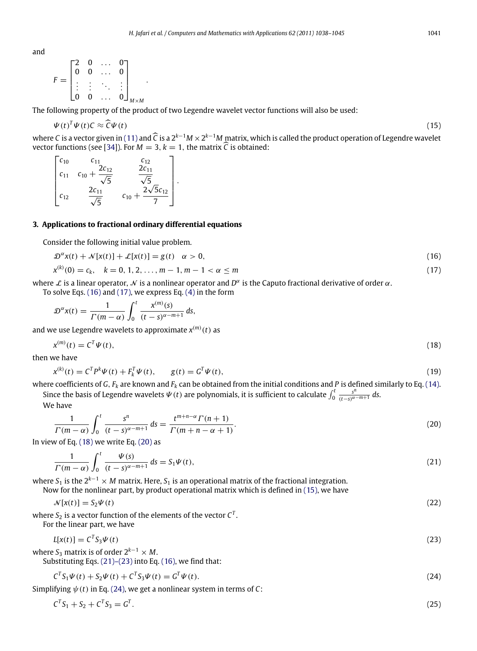and

$$
F = \begin{bmatrix} 2 & 0 & \dots & 0 \\ 0 & 0 & \dots & 0 \\ \vdots & \vdots & \ddots & \vdots \\ 0 & 0 & \dots & 0 \end{bmatrix}_{M \times M}.
$$

The following property of the product of two Legendre wavelet vector functions will also be used:

$$
\Psi(t)^{T} \Psi(t) C \approx \widehat{C} \Psi(t) \tag{15}
$$

where *C* is a vector given in [\(11\)](#page-2-3) and *C* is a 2<sup>k−1</sup>*M* × 2<sup>k−1</sup>*M* matrix, which is called the product operation of Legendre wavelet vector functions (see [\[34\]](#page-7-17)). For  $M = 3$ ,  $k = 1$ , the matrix  $\widehat{C}$  is obtained:

<span id="page-3-5"></span>
$$
\begin{bmatrix} c_{10} & c_{11} & c_{12} \\ c_{11} & c_{10} + \frac{2c_{12}}{\sqrt{5}} & \frac{2c_{11}}{\sqrt{5}} \\ c_{12} & \frac{2c_{11}}{\sqrt{5}} & c_{10} + \frac{2\sqrt{5}c_{12}}{7} \end{bmatrix}.
$$

### <span id="page-3-0"></span>**3. Applications to fractional ordinary differential equations**

Consider the following initial value problem.

$$
\mathcal{D}^{\alpha}x(t) + \mathcal{N}[x(t)] + \mathcal{L}[x(t)] = g(t) \quad \alpha > 0,
$$
\n(16)

<span id="page-3-2"></span><span id="page-3-1"></span>
$$
x^{(k)}(0) = c_k, \quad k = 0, 1, 2, \dots, m - 1, m - 1 < \alpha \le m \tag{17}
$$

where  $\mathcal L$  is a linear operator,  $\mathcal N$  is a nonlinear operator and  $D^\alpha$  is the Caputo fractional derivative of order  $\alpha$ .  $\frac{1}{16}$  Eqs. [\(16\)](#page-3-1) and [\(17\),](#page-3-2) we express Eq. [\(4\)](#page-1-1)

<span id="page-3-3"></span>
$$
\mathcal{D}^{\alpha}x(t)=\frac{1}{\Gamma(m-\alpha)}\int_0^t\frac{x^{(m)}(s)}{(t-s)^{\alpha-m+1}}\,ds,
$$

and we use Legendre wavelets to approximate  $x^{(m)}(t)$  as

$$
x^{(m)}(t) = C^T \Psi(t),
$$
\n(18)

then we have

$$
x^{(k)}(t) = C^{T} P^{k} \Psi(t) + F_{k}^{T} \Psi(t), \qquad g(t) = G^{T} \Psi(t), \qquad (19)
$$

where coefficients of *G*,  $F_k$  are known and  $F_k$  can be obtained from the initial conditions and *P* is defined similarly to Eq. [\(14\).](#page-2-4) Since the basis of Legendre wavelets  $\Psi(t)$  are polynomials, it is sufficient to calculate  $\int_0^t \frac{s^n}{(t-s)^\alpha}$  $\frac{s}{(t-s)^{\alpha-m+1}}$  *ds.* 

We have

<span id="page-3-6"></span><span id="page-3-4"></span>
$$
\frac{1}{\Gamma(m-\alpha)} \int_0^t \frac{s^n}{(t-s)^{\alpha-m+1}} ds = \frac{t^{m+n-\alpha} \Gamma(n+1)}{\Gamma(m+n-\alpha+1)}.
$$
\n(20)

In view of Eq.  $(18)$  we write Eq.  $(20)$  as

$$
\frac{1}{\Gamma(m-\alpha)} \int_0^t \frac{\Psi(s)}{(t-s)^{\alpha-m+1}} ds = S_1 \Psi(t),
$$
\n(21)

where  $S_1$  is the  $2^{k-1} \times M$  matrix. Here,  $S_1$  is an operational matrix of the fractional integration.

Now for the nonlinear part, by product operational matrix which is defined in [\(15\),](#page-3-5) we have

$$
\mathcal{N}[x(t)] = S_2 \Psi(t) \tag{22}
$$

where  $S_2$  is a vector function of the elements of the vector  $C^T$ . For the linear part, we have

$$
L[x(t)] = C^T S_3 \Psi(t) \tag{23}
$$

where  $S_3$  matrix is of order  $2^{k-1} \times M$ .

Substituting Eqs. [\(21\)–\(23\)](#page-3-6) into Eq. [\(16\),](#page-3-1) we find that:

<span id="page-3-7"></span>
$$
C^{T}S_{1}\Psi(t) + S_{2}\Psi(t) + C^{T}S_{3}\Psi(t) = G^{T}\Psi(t).
$$
\n(24)

Simplifying  $\psi(t)$  in Eq. [\(24\),](#page-3-7) we get a nonlinear system in terms of *C*:

$$
C^{T}S_1 + S_2 + C^{T}S_3 = G^{T}.
$$
\n(25)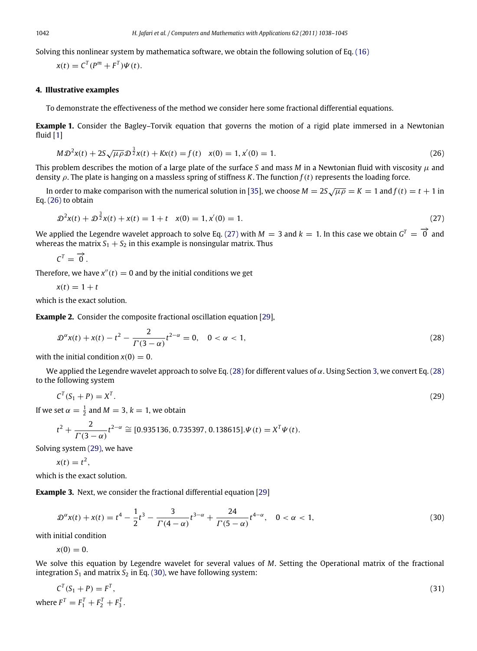Solving this nonlinear system by mathematica software, we obtain the following solution of Eq. [\(16\)](#page-3-1)

 $x(t) = C^{T}(P^{m} + F^{T})\Psi(t).$ 

#### <span id="page-4-0"></span>**4. Illustrative examples**

To demonstrate the effectiveness of the method we consider here some fractional differential equations.

**Example 1.** Consider the Bagley–Torvik equation that governs the motion of a rigid plate immersed in a Newtonian fluid [\[1\]](#page-7-0)

<span id="page-4-1"></span>
$$
M\mathcal{D}^{2}x(t) + 2S\sqrt{\mu \rho} \mathcal{D}^{\frac{3}{2}}x(t) + Kx(t) = f(t) \quad x(0) = 1, x'(0) = 1.
$$
 (26)

This problem describes the motion of a large plate of the surface *S* and mass *M* in a Newtonian fluid with viscosity  $\mu$  and density ρ. The plate is hanging on a massless spring of stiffness *K*. The function *f*(*t*) represents the loading force.

In order to make comparison with the numerical solution in [\[35\]](#page-7-18), we choose  $M = 2S\sqrt{\mu \rho} = K = 1$  and  $f(t) = t + 1$  in Eq. [\(26\)](#page-4-1) to obtain

$$
\mathcal{D}^2 x(t) + \mathcal{D}^{\frac{3}{2}} x(t) + x(t) = 1 + t \quad x(0) = 1, x'(0) = 1.
$$
 (27)

We applied the Legendre wavelet approach to solve Eq. [\(27\)](#page-4-2) with  $M = 3$  and  $k = 1$ . In this case we obtain  $G<sup>T</sup> = \overrightarrow{0}$  and whereas the matrix  $S_1 + S_2$  in this example is nonsingular matrix. Thus

<span id="page-4-2"></span>
$$
C^T=\overrightarrow{0}.
$$

Therefore, we have  $x''(t) = 0$  and by the initial conditions we get

$$
x(t) = 1 + t
$$

which is the exact solution.

**Example 2.** Consider the composite fractional oscillation equation [\[29\]](#page-7-11),

<span id="page-4-3"></span>
$$
\mathcal{D}^{\alpha}x(t) + x(t) - t^2 - \frac{2}{\Gamma(3-\alpha)}t^{2-\alpha} = 0, \quad 0 < \alpha < 1,
$$
\n(28)

with the initial condition  $x(0) = 0$ .

We applied the Legendre wavelet approach to solve Eq. [\(28\)](#page-4-3) for different values of  $\alpha$ . Using Section [3,](#page-3-0) we convert Eq. (28) to the following system

<span id="page-4-4"></span>
$$
C^T(S_1 + P) = X^T. \tag{29}
$$

If we set  $\alpha = \frac{1}{2}$  and  $M = 3$ ,  $k = 1$ , we obtain

$$
t^{2} + \frac{2}{\Gamma(3-\alpha)}t^{2-\alpha} \cong [0.935136, 0.735397, 0.138615].\Psi(t) = X^{T}\Psi(t).
$$

Solving system [\(29\),](#page-4-4) we have

$$
x(t)=t^2,
$$

which is the exact solution.

**Example 3.** Next, we consider the fractional differential equation [\[29\]](#page-7-11)

<span id="page-4-5"></span>
$$
\mathcal{D}^{\alpha}x(t) + x(t) = t^4 - \frac{1}{2}t^3 - \frac{3}{\Gamma(4-\alpha)}t^{3-\alpha} + \frac{24}{\Gamma(5-\alpha)}t^{4-\alpha}, \quad 0 < \alpha < 1,
$$
\n(30)

with initial condition

<span id="page-4-6"></span> $x(0) = 0.$ 

We solve this equation by Legendre wavelet for several values of *M*. Setting the Operational matrix of the fractional integration  $S_1$  and matrix  $S_2$  in Eq. [\(30\),](#page-4-5) we have following system:

$$
CT(S1 + P) = FT,
$$
  
where  $FT = F1T + F2T + F3T.$  (31)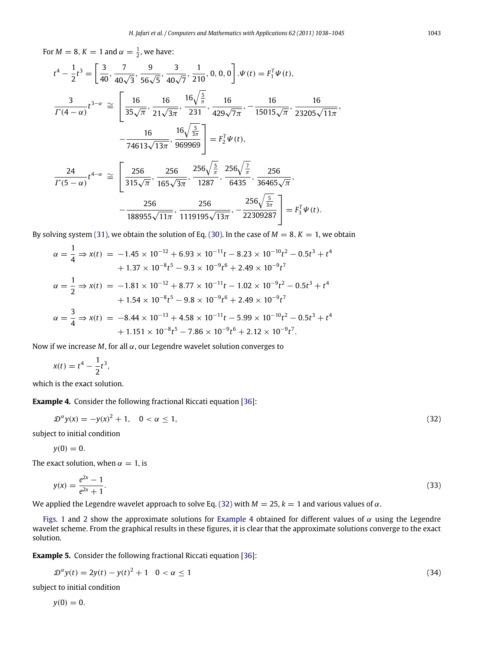For  $M = 8$ ,  $K = 1$  and  $\alpha = \frac{1}{2}$ , we have:

$$
t^{4} - \frac{1}{2}t^{3} = \left[\frac{3}{40}, \frac{7}{40\sqrt{3}}, \frac{9}{56\sqrt{5}}, \frac{3}{40\sqrt{7}}, \frac{1}{210}, 0, 0, 0\right] \cdot \Psi(t) = F_{1}^{T} \Psi(t),
$$
  

$$
\frac{3}{\Gamma(4-\alpha)}t^{3-\alpha} \approx \left[\frac{16}{35\sqrt{\pi}}, \frac{16}{21\sqrt{3\pi}}, \frac{16\sqrt{\frac{5}{\pi}}}{231}, \frac{16}{429\sqrt{7\pi}}, -\frac{16}{15015\sqrt{\pi}}, \frac{16}{23205\sqrt{11\pi}}, -\frac{16}{74613\sqrt{13\pi}}, \frac{16\sqrt{\frac{5}{3\pi}}}{969969}\right] = F_{2}^{T} \Psi(t),
$$
  

$$
\frac{24}{\Gamma(5-\alpha)}t^{4-\alpha} \approx \left[\frac{256}{315\sqrt{\pi}}, \frac{256}{165\sqrt{3\pi}}, \frac{256\sqrt{\frac{5}{\pi}}}{1287}, \frac{256\sqrt{\frac{7}{\pi}}}{6435}, \frac{256\sqrt{\frac{5}{\pi}}}{36465\sqrt{\pi}}, -\frac{256}{188955\sqrt{11\pi}}, \frac{256}{1119195\sqrt{13\pi}}, -\frac{256\sqrt{\frac{5}{3\pi}}}{22309287}\right] = F_{3}^{T} \Psi(t).
$$

By solving system [\(31\),](#page-4-6) we obtain the solution of Eq. [\(30\).](#page-4-5) In the case of  $M = 8$ ,  $K = 1$ , we obtain

$$
\alpha = \frac{1}{4} \Rightarrow x(t) = -1.45 \times 10^{-12} + 6.93 \times 10^{-11}t - 8.23 \times 10^{-10}t^2 - 0.5t^3 + t^4
$$
  
+ 1.37 × 10<sup>-8</sup>t<sup>5</sup> - 9.3 × 10<sup>-9</sup>t<sup>6</sup> + 2.49 × 10<sup>-9</sup>t<sup>7</sup>  

$$
\alpha = \frac{1}{2} \Rightarrow x(t) = -1.81 \times 10^{-12} + 8.77 \times 10^{-11}t - 1.02 \times 10^{-9}t^2 - 0.5t^3 + t^4
$$
  
+ 1.54 × 10<sup>-8</sup>t<sup>5</sup> - 9.8 × 10<sup>-9</sup>t<sup>6</sup> + 2.49 × 10<sup>-9</sup>t<sup>7</sup>  

$$
\alpha = \frac{3}{4} \Rightarrow x(t) = -8.44 \times 10^{-13} + 4.58 \times 10^{-11}t - 5.99 \times 10^{-10}t^2 - 0.5t^3 + t^4
$$
  
+ 1.151 × 10<sup>-8</sup>t<sup>5</sup> - 7.86 × 10<sup>-9</sup>t<sup>6</sup> + 2.12 × 10<sup>-9</sup>t<sup>7</sup>.

Now if we increase *M*, for all α, our Legendre wavelet solution converges to

$$
x(t) = t^4 - \frac{1}{2}t^3,
$$

which is the exact solution.

**Example 4.** Consider the following fractional Riccati equation [\[36\]](#page-7-19):

<span id="page-5-1"></span><span id="page-5-0"></span>
$$
\mathcal{D}^{\alpha} y(x) = -y(x)^2 + 1, \quad 0 < \alpha \le 1,\tag{32}
$$

subject to initial condition

$$
y(0)=0.
$$

The exact solution, when  $\alpha = 1$ , is

$$
y(x) = \frac{e^{2x} - 1}{e^{2x} + 1}.
$$
\n(33)

We applied the Legendre wavelet approach to solve Eq. [\(32\)](#page-5-0) with  $M = 25$ ,  $k = 1$  and various values of  $\alpha$ .

[Figs. 1](#page-6-0) and [2](#page-6-1) show the approximate solutions for [Example 4](#page-5-1) obtained for different values of  $\alpha$  using the Legendre wavelet scheme. From the graphical results in these figures, it is clear that the approximate solutions converge to the exact solution.

**Example 5.** Consider the following fractional Riccati equation [\[36\]](#page-7-19):

<span id="page-5-2"></span>
$$
\mathcal{D}^{\alpha} y(t) = 2y(t) - y(t)^2 + 1 \quad 0 < \alpha \le 1 \tag{34}
$$

subject to initial condition

 $y(0) = 0.$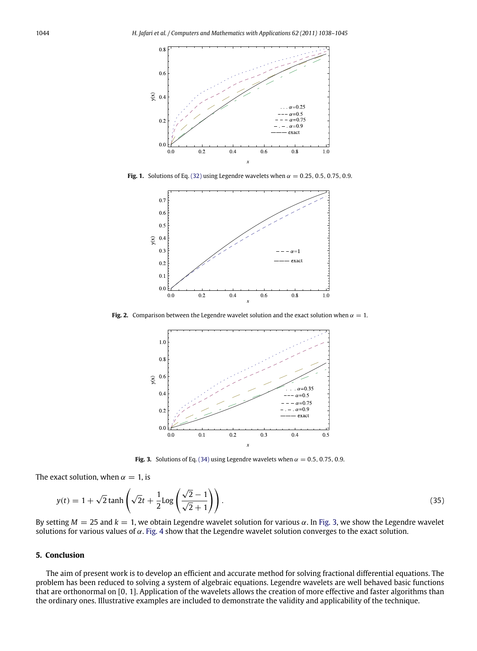<span id="page-6-0"></span>

<span id="page-6-1"></span>**Fig. 1.** Solutions of Eq. [\(32\)](#page-5-0) using Legendre wavelets when  $\alpha = 0.25, 0.5, 0.75, 0.9$ .



<span id="page-6-2"></span>**Fig. 2.** Comparison between the Legendre wavelet solution and the exact solution when  $\alpha = 1$ .



**Fig. 3.** Solutions of Eq. [\(34\)](#page-5-2) using Legendre wavelets when  $\alpha = 0.5, 0.75, 0.9$ .

The exact solution, when  $\alpha = 1$ , is

$$
y(t) = 1 + \sqrt{2} \tanh\left(\sqrt{2}t + \frac{1}{2}\log\left(\frac{\sqrt{2}-1}{\sqrt{2}+1}\right)\right).
$$
 (35)

By setting  $M = 25$  and  $k = 1$ , we obtain Legendre wavelet solution for various  $\alpha$ . In [Fig. 3,](#page-6-2) we show the Legendre wavelet solutions for various values of  $\alpha$ . [Fig. 4](#page-7-20) show that the Legendre wavelet solution converges to the exact solution.

#### **5. Conclusion**

The aim of present work is to develop an efficient and accurate method for solving fractional differential equations. The problem has been reduced to solving a system of algebraic equations. Legendre wavelets are well behaved basic functions that are orthonormal on [0, <sup>1</sup>]. Application of the wavelets allows the creation of more effective and faster algorithms than the ordinary ones. Illustrative examples are included to demonstrate the validity and applicability of the technique.